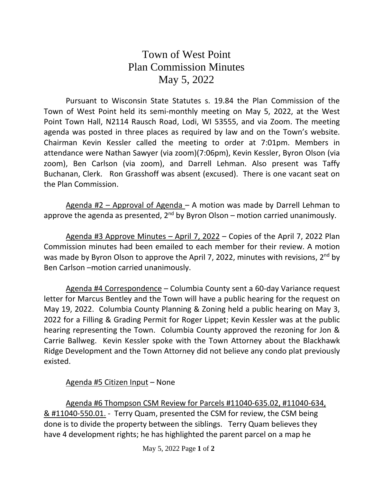## Town of West Point Plan Commission Minutes May 5, 2022

Pursuant to Wisconsin State Statutes s. 19.84 the Plan Commission of the Town of West Point held its semi-monthly meeting on May 5, 2022, at the West Point Town Hall, N2114 Rausch Road, Lodi, WI 53555, and via Zoom. The meeting agenda was posted in three places as required by law and on the Town's website. Chairman Kevin Kessler called the meeting to order at 7:01pm. Members in attendance were Nathan Sawyer (via zoom)(7:06pm), Kevin Kessler, Byron Olson (via zoom), Ben Carlson (via zoom), and Darrell Lehman. Also present was Taffy Buchanan, Clerk. Ron Grasshoff was absent (excused). There is one vacant seat on the Plan Commission.

Agenda #2 – Approval of Agenda – A motion was made by Darrell Lehman to approve the agenda as presented, 2<sup>nd</sup> by Byron Olson – motion carried unanimously.

Agenda #3 Approve Minutes – April 7, 2022 – Copies of the April 7, 2022 Plan Commission minutes had been emailed to each member for their review. A motion was made by Byron Olson to approve the April 7, 2022, minutes with revisions, 2<sup>nd</sup> by Ben Carlson –motion carried unanimously.

Agenda #4 Correspondence – Columbia County sent a 60-day Variance request letter for Marcus Bentley and the Town will have a public hearing for the request on May 19, 2022. Columbia County Planning & Zoning held a public hearing on May 3, 2022 for a Filling & Grading Permit for Roger Lippet; Kevin Kessler was at the public hearing representing the Town. Columbia County approved the rezoning for Jon & Carrie Ballweg. Kevin Kessler spoke with the Town Attorney about the Blackhawk Ridge Development and the Town Attorney did not believe any condo plat previously existed.

## Agenda #5 Citizen Input – None

Agenda #6 Thompson CSM Review for Parcels #11040-635.02, #11040-634, & #11040-550.01. - Terry Quam, presented the CSM for review, the CSM being done is to divide the property between the siblings. Terry Quam believes they have 4 development rights; he has highlighted the parent parcel on a map he